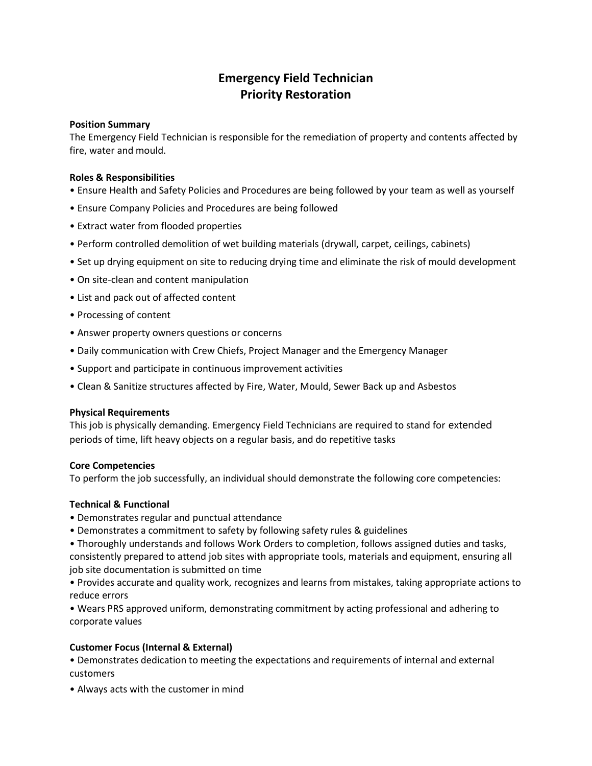# **Emergency Field Technician Priority Restoration**

### **Position Summary**

The Emergency Field Technician is responsible for the remediation of property and contents affected by fire, water and mould.

### **Roles & Responsibilities**

- Ensure Health and Safety Policies and Procedures are being followed by your team as well as yourself
- Ensure Company Policies and Procedures are being followed
- Extract water from flooded properties
- Perform controlled demolition of wet building materials (drywall, carpet, ceilings, cabinets)
- Set up drying equipment on site to reducing drying time and eliminate the risk of mould development
- On site-clean and content manipulation
- List and pack out of affected content
- Processing of content
- Answer property owners questions or concerns
- Daily communication with Crew Chiefs, Project Manager and the Emergency Manager
- Support and participate in continuous improvement activities
- Clean & Sanitize structures affected by Fire, Water, Mould, Sewer Back up and Asbestos

# **Physical Requirements**

This job is physically demanding. Emergency Field Technicians are required to stand for extended periods of time, lift heavy objects on a regular basis, and do repetitive tasks

# **Core Competencies**

To perform the job successfully, an individual should demonstrate the following core competencies:

# **Technical & Functional**

- Demonstrates regular and punctual attendance
- Demonstrates a commitment to safety by following safety rules & guidelines
- Thoroughly understands and follows Work Orders to completion, follows assigned duties and tasks, consistently prepared to attend job sites with appropriate tools, materials and equipment, ensuring all job site documentation is submitted on time
- Provides accurate and quality work, recognizes and learns from mistakes, taking appropriate actions to reduce errors

• Wears PRS approved uniform, demonstrating commitment by acting professional and adhering to corporate values

# **Customer Focus (Internal & External)**

• Demonstrates dedication to meeting the expectations and requirements of internal and external customers

• Always acts with the customer in mind